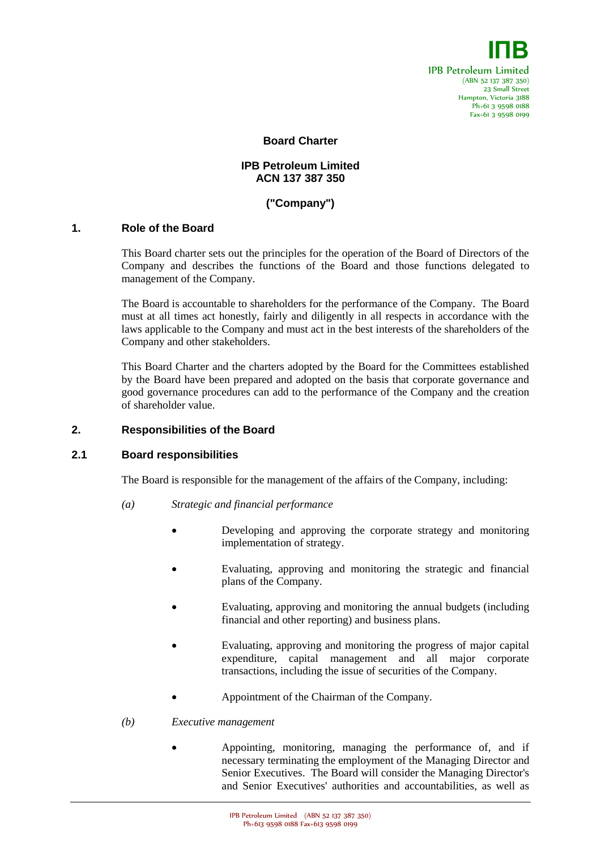

### **Board Charter**

## **IPB Petroleum Limited ACN 137 387 350**

# **("Company")**

### **1. Role of the Board**

This Board charter sets out the principles for the operation of the Board of Directors of the Company and describes the functions of the Board and those functions delegated to management of the Company.

The Board is accountable to shareholders for the performance of the Company. The Board must at all times act honestly, fairly and diligently in all respects in accordance with the laws applicable to the Company and must act in the best interests of the shareholders of the Company and other stakeholders.

This Board Charter and the charters adopted by the Board for the Committees established by the Board have been prepared and adopted on the basis that corporate governance and good governance procedures can add to the performance of the Company and the creation of shareholder value.

#### **2. Responsibilities of the Board**

## **2.1 Board responsibilities**

The Board is responsible for the management of the affairs of the Company, including:

- *(a) Strategic and financial performance*
	- Developing and approving the corporate strategy and monitoring implementation of strategy.
	- Evaluating, approving and monitoring the strategic and financial plans of the Company.
	- Evaluating, approving and monitoring the annual budgets (including financial and other reporting) and business plans.
	- Evaluating, approving and monitoring the progress of major capital expenditure, capital management and all major corporate transactions, including the issue of securities of the Company.
	- Appointment of the Chairman of the Company.

#### *(b) Executive management*

 Appointing, monitoring, managing the performance of, and if necessary terminating the employment of the Managing Director and Senior Executives. The Board will consider the Managing Director's and Senior Executives' authorities and accountabilities, as well as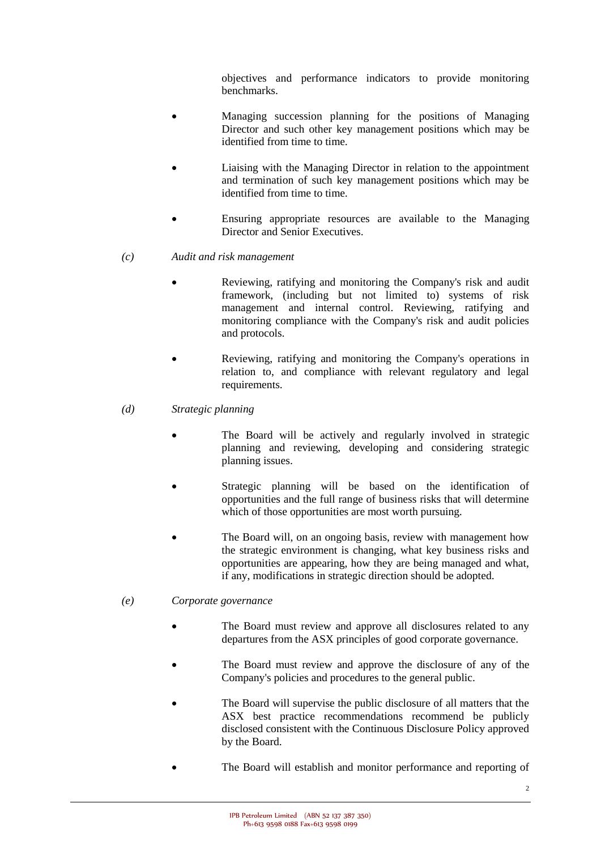objectives and performance indicators to provide monitoring benchmarks.

- Managing succession planning for the positions of Managing Director and such other key management positions which may be identified from time to time.
- Liaising with the Managing Director in relation to the appointment and termination of such key management positions which may be identified from time to time.
- Ensuring appropriate resources are available to the Managing Director and Senior Executives.
- *(c) Audit and risk management*
	- Reviewing, ratifying and monitoring the Company's risk and audit framework, (including but not limited to) systems of risk management and internal control. Reviewing, ratifying and monitoring compliance with the Company's risk and audit policies and protocols.
	- Reviewing, ratifying and monitoring the Company's operations in relation to, and compliance with relevant regulatory and legal requirements.
- *(d) Strategic planning*
	- The Board will be actively and regularly involved in strategic planning and reviewing, developing and considering strategic planning issues.
	- Strategic planning will be based on the identification of opportunities and the full range of business risks that will determine which of those opportunities are most worth pursuing.
	- The Board will, on an ongoing basis, review with management how the strategic environment is changing, what key business risks and opportunities are appearing, how they are being managed and what, if any, modifications in strategic direction should be adopted.

# *(e) Corporate governance*

- The Board must review and approve all disclosures related to any departures from the ASX principles of good corporate governance.
- The Board must review and approve the disclosure of any of the Company's policies and procedures to the general public.
- The Board will supervise the public disclosure of all matters that the ASX best practice recommendations recommend be publicly disclosed consistent with the Continuous Disclosure Policy approved by the Board.
- The Board will establish and monitor performance and reporting of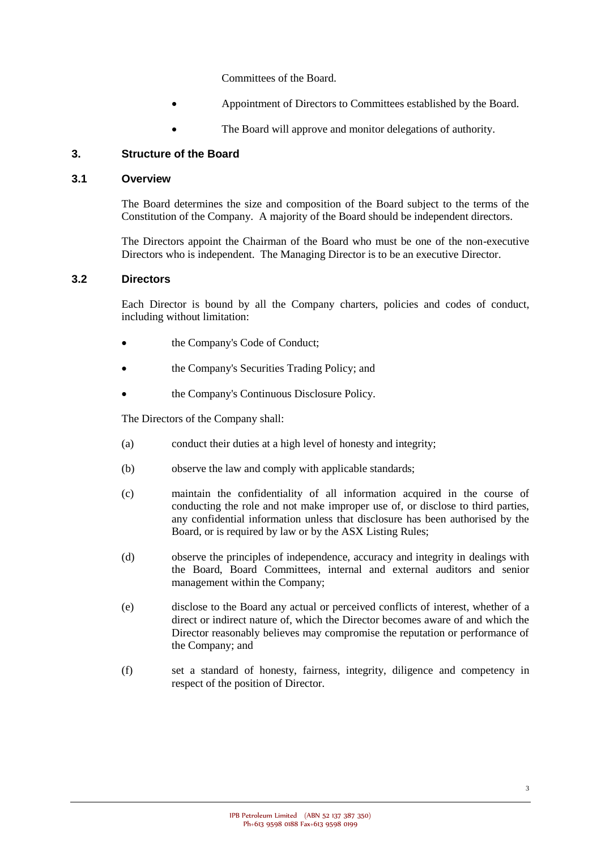Committees of the Board.

- Appointment of Directors to Committees established by the Board.
- The Board will approve and monitor delegations of authority.

## **3. Structure of the Board**

### **3.1 Overview**

The Board determines the size and composition of the Board subject to the terms of the Constitution of the Company. A majority of the Board should be independent directors.

The Directors appoint the Chairman of the Board who must be one of the non-executive Directors who is independent. The Managing Director is to be an executive Director.

### **3.2 Directors**

Each Director is bound by all the Company charters, policies and codes of conduct, including without limitation:

- the Company's Code of Conduct;
- the Company's Securities Trading Policy; and
- the Company's Continuous Disclosure Policy.

The Directors of the Company shall:

- (a) conduct their duties at a high level of honesty and integrity;
- (b) observe the law and comply with applicable standards;
- (c) maintain the confidentiality of all information acquired in the course of conducting the role and not make improper use of, or disclose to third parties, any confidential information unless that disclosure has been authorised by the Board, or is required by law or by the ASX Listing Rules;
- (d) observe the principles of independence, accuracy and integrity in dealings with the Board, Board Committees, internal and external auditors and senior management within the Company;
- (e) disclose to the Board any actual or perceived conflicts of interest, whether of a direct or indirect nature of, which the Director becomes aware of and which the Director reasonably believes may compromise the reputation or performance of the Company; and
- (f) set a standard of honesty, fairness, integrity, diligence and competency in respect of the position of Director.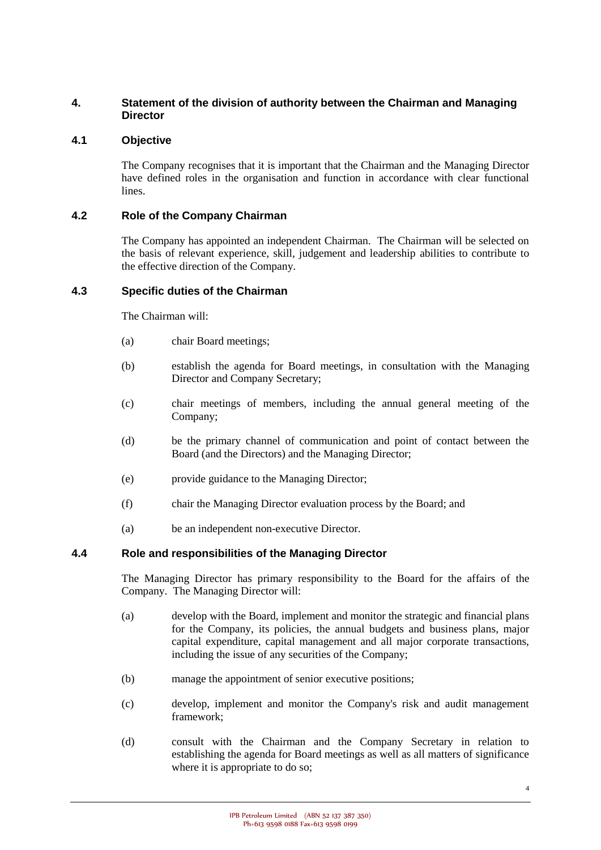## **4. Statement of the division of authority between the Chairman and Managing Director**

## **4.1 Objective**

The Company recognises that it is important that the Chairman and the Managing Director have defined roles in the organisation and function in accordance with clear functional lines.

### **4.2 Role of the Company Chairman**

The Company has appointed an independent Chairman. The Chairman will be selected on the basis of relevant experience, skill, judgement and leadership abilities to contribute to the effective direction of the Company.

### **4.3 Specific duties of the Chairman**

The Chairman will:

- (a) chair Board meetings;
- (b) establish the agenda for Board meetings, in consultation with the Managing Director and Company Secretary;
- (c) chair meetings of members, including the annual general meeting of the Company;
- (d) be the primary channel of communication and point of contact between the Board (and the Directors) and the Managing Director;
- (e) provide guidance to the Managing Director;
- (f) chair the Managing Director evaluation process by the Board; and
- (a) be an independent non-executive Director.

## **4.4 Role and responsibilities of the Managing Director**

The Managing Director has primary responsibility to the Board for the affairs of the Company. The Managing Director will:

- (a) develop with the Board, implement and monitor the strategic and financial plans for the Company, its policies, the annual budgets and business plans, major capital expenditure, capital management and all major corporate transactions, including the issue of any securities of the Company;
- (b) manage the appointment of senior executive positions;
- (c) develop, implement and monitor the Company's risk and audit management framework;
- (d) consult with the Chairman and the Company Secretary in relation to establishing the agenda for Board meetings as well as all matters of significance where it is appropriate to do so;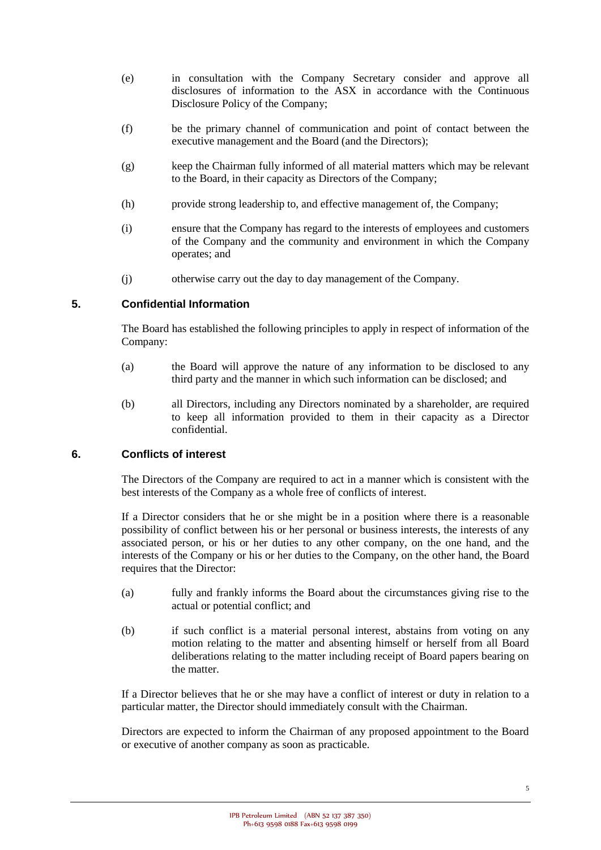- (e) in consultation with the Company Secretary consider and approve all disclosures of information to the ASX in accordance with the Continuous Disclosure Policy of the Company;
- (f) be the primary channel of communication and point of contact between the executive management and the Board (and the Directors);
- (g) keep the Chairman fully informed of all material matters which may be relevant to the Board, in their capacity as Directors of the Company;
- (h) provide strong leadership to, and effective management of, the Company;
- (i) ensure that the Company has regard to the interests of employees and customers of the Company and the community and environment in which the Company operates; and
- (j) otherwise carry out the day to day management of the Company.

## **5. Confidential Information**

The Board has established the following principles to apply in respect of information of the Company:

- (a) the Board will approve the nature of any information to be disclosed to any third party and the manner in which such information can be disclosed; and
- (b) all Directors, including any Directors nominated by a shareholder, are required to keep all information provided to them in their capacity as a Director confidential.

## **6. Conflicts of interest**

The Directors of the Company are required to act in a manner which is consistent with the best interests of the Company as a whole free of conflicts of interest.

If a Director considers that he or she might be in a position where there is a reasonable possibility of conflict between his or her personal or business interests, the interests of any associated person, or his or her duties to any other company, on the one hand, and the interests of the Company or his or her duties to the Company, on the other hand, the Board requires that the Director:

- (a) fully and frankly informs the Board about the circumstances giving rise to the actual or potential conflict; and
- (b) if such conflict is a material personal interest, abstains from voting on any motion relating to the matter and absenting himself or herself from all Board deliberations relating to the matter including receipt of Board papers bearing on the matter.

If a Director believes that he or she may have a conflict of interest or duty in relation to a particular matter, the Director should immediately consult with the Chairman.

Directors are expected to inform the Chairman of any proposed appointment to the Board or executive of another company as soon as practicable.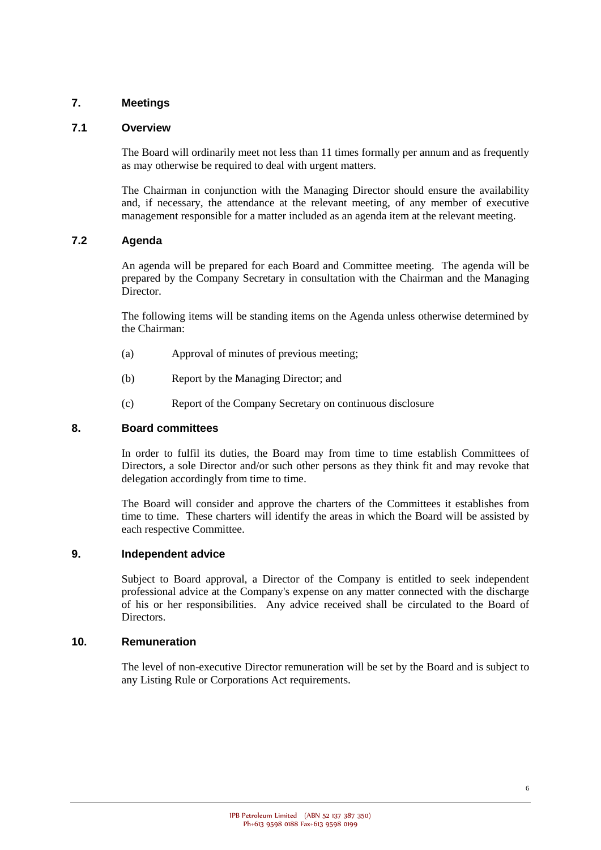## **7. Meetings**

### **7.1 Overview**

The Board will ordinarily meet not less than 11 times formally per annum and as frequently as may otherwise be required to deal with urgent matters.

The Chairman in conjunction with the Managing Director should ensure the availability and, if necessary, the attendance at the relevant meeting, of any member of executive management responsible for a matter included as an agenda item at the relevant meeting.

## **7.2 Agenda**

An agenda will be prepared for each Board and Committee meeting. The agenda will be prepared by the Company Secretary in consultation with the Chairman and the Managing Director.

The following items will be standing items on the Agenda unless otherwise determined by the Chairman:

- (a) Approval of minutes of previous meeting;
- (b) Report by the Managing Director; and
- (c) Report of the Company Secretary on continuous disclosure

#### **8. Board committees**

In order to fulfil its duties, the Board may from time to time establish Committees of Directors, a sole Director and/or such other persons as they think fit and may revoke that delegation accordingly from time to time.

The Board will consider and approve the charters of the Committees it establishes from time to time. These charters will identify the areas in which the Board will be assisted by each respective Committee.

#### **9. Independent advice**

Subject to Board approval, a Director of the Company is entitled to seek independent professional advice at the Company's expense on any matter connected with the discharge of his or her responsibilities. Any advice received shall be circulated to the Board of Directors.

#### **10. Remuneration**

The level of non-executive Director remuneration will be set by the Board and is subject to any Listing Rule or Corporations Act requirements.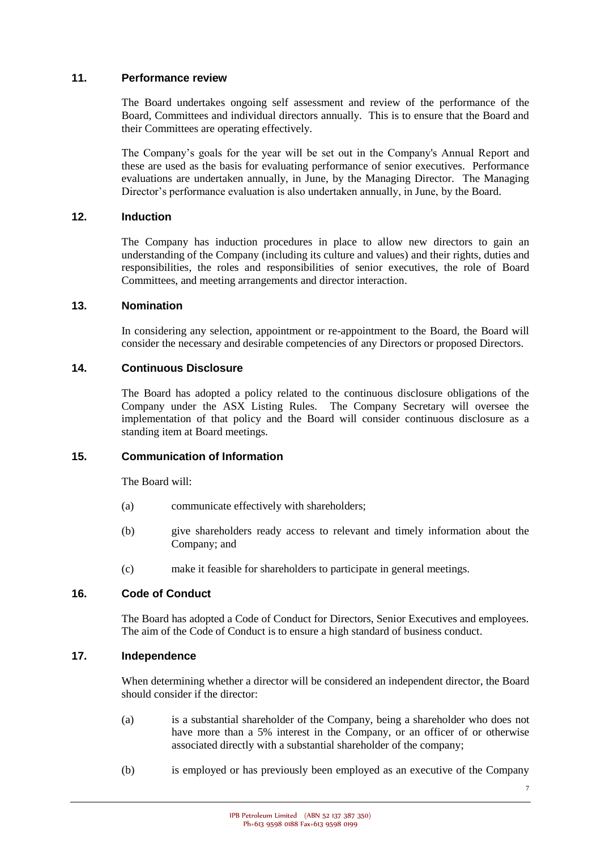### **11. Performance review**

The Board undertakes ongoing self assessment and review of the performance of the Board, Committees and individual directors annually. This is to ensure that the Board and their Committees are operating effectively.

The Company's goals for the year will be set out in the Company's Annual Report and these are used as the basis for evaluating performance of senior executives. Performance evaluations are undertaken annually, in June, by the Managing Director. The Managing Director's performance evaluation is also undertaken annually, in June, by the Board.

## **12. Induction**

The Company has induction procedures in place to allow new directors to gain an understanding of the Company (including its culture and values) and their rights, duties and responsibilities, the roles and responsibilities of senior executives, the role of Board Committees, and meeting arrangements and director interaction.

### **13. Nomination**

In considering any selection, appointment or re-appointment to the Board, the Board will consider the necessary and desirable competencies of any Directors or proposed Directors.

### **14. Continuous Disclosure**

The Board has adopted a policy related to the continuous disclosure obligations of the Company under the ASX Listing Rules. The Company Secretary will oversee the implementation of that policy and the Board will consider continuous disclosure as a standing item at Board meetings.

## **15. Communication of Information**

The Board will:

- (a) communicate effectively with shareholders;
- (b) give shareholders ready access to relevant and timely information about the Company; and
- (c) make it feasible for shareholders to participate in general meetings.

## **16. Code of Conduct**

The Board has adopted a Code of Conduct for Directors, Senior Executives and employees. The aim of the Code of Conduct is to ensure a high standard of business conduct.

#### **17. Independence**

When determining whether a director will be considered an independent director, the Board should consider if the director:

- (a) is a substantial shareholder of the Company, being a shareholder who does not have more than a 5% interest in the Company, or an officer of or otherwise associated directly with a substantial shareholder of the company;
- (b) is employed or has previously been employed as an executive of the Company